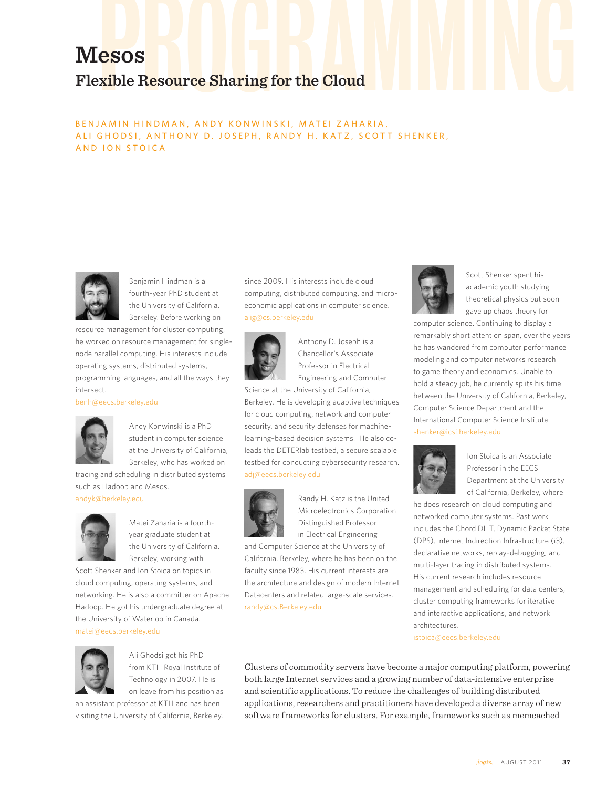# RESOS<br>Exible Resource Sharing for the Cloud **Mesos Flexible Resource Sharing for the Cloud**

# BENJAMIN HINDMAN, ANDY KONWINSKI, MATEI ZAHARIA, ALI GHODSI, ANTHONY D. JOSEPH, RANDY H. KATZ, SCOTT SHENKER, AND ION STOICA



Benjamin Hindman is a fourth-year PhD student at the University of California, Berkeley. Before working on

resource management for cluster computing, he worked on resource management for singlenode parallel computing. His interests include operating systems, distributed systems, programming languages, and all the ways they intersect.

#### benh@eecs.berkeley.edu



Andy Konwinski is a PhD student in computer science at the University of California, Berkeley, who has worked on

tracing and scheduling in distributed systems such as Hadoop and Mesos.

# andyk@berkeley.edu



Matei Zaharia is a fourthyear graduate student at the University of California, Berkeley, working with

Scott Shenker and Ion Stoica on topics in cloud computing, operating systems, and networking. He is also a committer on Apache Hadoop. He got his undergraduate degree at the University of Waterloo in Canada. matei@eecs.berkeley.edu



Ali Ghodsi got his PhD from KTH Royal Institute of Technology in 2007. He is on leave from his position as

an assistant professor at KTH and has been visiting the University of California, Berkeley,

since 2009. His interests include cloud computing, distributed computing, and microeconomic applications in computer science. alig@cs.berkeley.edu



Anthony D. Joseph is a Chancellor's Associate Professor in Electrical Engineering and Computer

Science at the University of California, Berkeley. He is developing adaptive techniques for cloud computing, network and computer security, and security defenses for machinelearning–based decision systems. He also coleads the DETERlab testbed, a secure scalable testbed for conducting cybersecurity research. adj@eecs.berkeley.edu



Randy H. Katz is the United Microelectronics Corporation Distinguished Professor in Electrical Engineering

and Computer Science at the University of California, Berkeley, where he has been on the faculty since 1983. His current interests are the architecture and design of modern Internet Datacenters and related large-scale services. randy@cs.Berkeley.edu



Scott Shenker spent his academic youth studying theoretical physics but soon gave up chaos theory for

computer science. Continuing to display a remarkably short attention span, over the years he has wandered from computer performance modeling and computer networks research to game theory and economics. Unable to hold a steady job, he currently splits his time between the University of California, Berkeley, Computer Science Department and the International Computer Science Institute. shenker@icsi.berkeley.edu



Ion Stoica is an Associate Professor in the EECS Department at the University of California, Berkeley, where

he does research on cloud computing and networked computer systems. Past work includes the Chord DHT, Dynamic Packet State (DPS), Internet Indirection Infrastructure (i3), declarative networks, replay-debugging, and multi-layer tracing in distributed systems. His current research includes resource management and scheduling for data centers, cluster computing frameworks for iterative and interactive applications, and network architectures.

istoica@eecs.berkeley.edu

Clusters of commodity servers have become a major computing platform, powering both large Internet services and a growing number of data-intensive enterprise and scientific applications. To reduce the challenges of building distributed applications, researchers and practitioners have developed a diverse array of new software frameworks for clusters. For example, frameworks such as memcached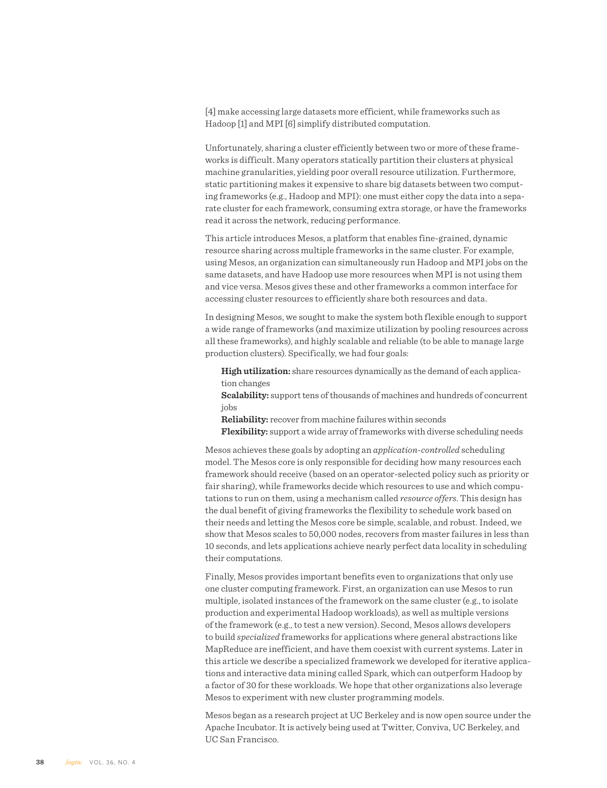[4] make accessing large datasets more efficient, while frameworks such as Hadoop [1] and MPI [6] simplify distributed computation.

Unfortunately, sharing a cluster efficiently between two or more of these frameworks is difficult. Many operators statically partition their clusters at physical machine granularities, yielding poor overall resource utilization. Furthermore, static partitioning makes it expensive to share big datasets between two computing frameworks (e.g., Hadoop and MPI): one must either copy the data into a separate cluster for each framework, consuming extra storage, or have the frameworks read it across the network, reducing performance.

This article introduces Mesos, a platform that enables fine-grained, dynamic resource sharing across multiple frameworks in the same cluster. For example, using Mesos, an organization can simultaneously run Hadoop and MPI jobs on the same datasets, and have Hadoop use more resources when MPI is not using them and vice versa. Mesos gives these and other frameworks a common interface for accessing cluster resources to efficiently share both resources and data.

In designing Mesos, we sought to make the system both flexible enough to support a wide range of frameworks (and maximize utilization by pooling resources across all these frameworks), and highly scalable and reliable (to be able to manage large production clusters). Specifically, we had four goals:

**High utilization:** share resources dynamically as the demand of each application changes

**Scalability:** support tens of thousands of machines and hundreds of concurrent jobs

**Reliability:** recover from machine failures within seconds

**Flexibility:** support a wide array of frameworks with diverse scheduling needs

Mesos achieves these goals by adopting an *application-controlled* scheduling model. The Mesos core is only responsible for deciding how many resources each framework should receive (based on an operator-selected policy such as priority or fair sharing), while frameworks decide which resources to use and which computations to run on them, using a mechanism called *resource offers*. This design has the dual benefit of giving frameworks the flexibility to schedule work based on their needs and letting the Mesos core be simple, scalable, and robust. Indeed, we show that Mesos scales to 50,000 nodes, recovers from master failures in less than 10 seconds, and lets applications achieve nearly perfect data locality in scheduling their computations.

Finally, Mesos provides important benefits even to organizations that only use one cluster computing framework. First, an organization can use Mesos to run multiple, isolated instances of the framework on the same cluster (e.g., to isolate production and experimental Hadoop workloads), as well as multiple versions of the framework (e.g., to test a new version). Second, Mesos allows developers to build *specialized* frameworks for applications where general abstractions like MapReduce are inefficient, and have them coexist with current systems. Later in this article we describe a specialized framework we developed for iterative applications and interactive data mining called Spark, which can outperform Hadoop by a factor of 30 for these workloads. We hope that other organizations also leverage Mesos to experiment with new cluster programming models.

Mesos began as a research project at UC Berkeley and is now open source under the Apache Incubator. It is actively being used at Twitter, Conviva, UC Berkeley, and UC San Francisco.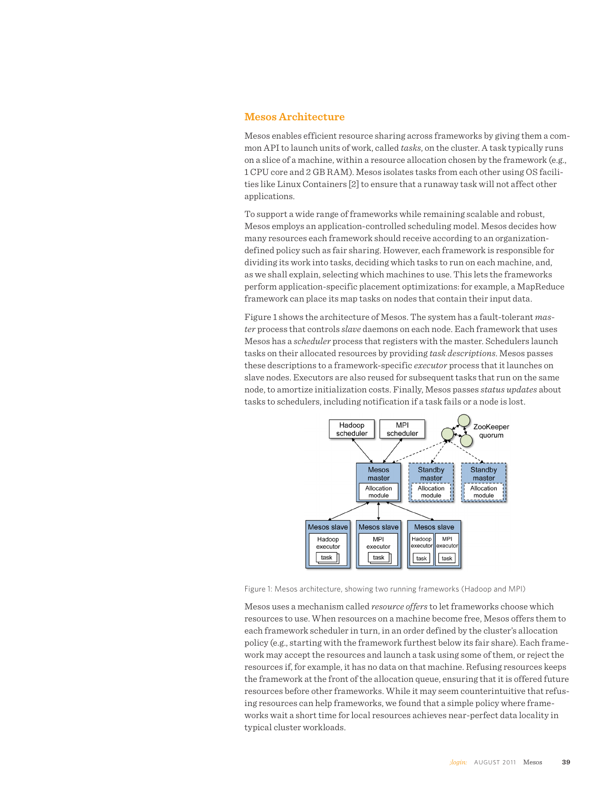#### **Mesos Architecture**

Mesos enables efficient resource sharing across frameworks by giving them a common API to launch units of work, called *tasks*, on the cluster. A task typically runs on a slice of a machine, within a resource allocation chosen by the framework (e.g., 1 CPU core and 2 GB RAM). Mesos isolates tasks from each other using OS facilities like Linux Containers [2] to ensure that a runaway task will not affect other applications.

To support a wide range of frameworks while remaining scalable and robust, Mesos employs an application-controlled scheduling model. Mesos decides how many resources each framework should receive according to an organizationdefined policy such as fair sharing. However, each framework is responsible for dividing its work into tasks, deciding which tasks to run on each machine, and, as we shall explain, selecting which machines to use. This lets the frameworks perform application-specific placement optimizations: for example, a MapReduce framework can place its map tasks on nodes that contain their input data.

Figure 1 shows the architecture of Mesos. The system has a fault-tolerant *master* process that controls *slave* daemons on each node. Each framework that uses Mesos has a *scheduler* process that registers with the master. Schedulers launch tasks on their allocated resources by providing *task descriptions*. Mesos passes these descriptions to a framework-specific *executor* process that it launches on slave nodes. Executors are also reused for subsequent tasks that run on the same node, to amortize initialization costs. Finally, Mesos passes *status updates* about tasks to schedulers, including notification if a task fails or a node is lost.



Figure 1: Mesos architecture, showing two running frameworks (Hadoop and MPI)

Mesos uses a mechanism called *resource offers* to let frameworks choose which resources to use. When resources on a machine become free, Mesos offers them to each framework scheduler in turn, in an order defined by the cluster's allocation policy (e.g., starting with the framework furthest below its fair share). Each framework may accept the resources and launch a task using some of them, or reject the resources if, for example, it has no data on that machine. Refusing resources keeps the framework at the front of the allocation queue, ensuring that it is offered future resources before other frameworks. While it may seem counterintuitive that refusing resources can help frameworks, we found that a simple policy where frameworks wait a short time for local resources achieves near-perfect data locality in typical cluster workloads.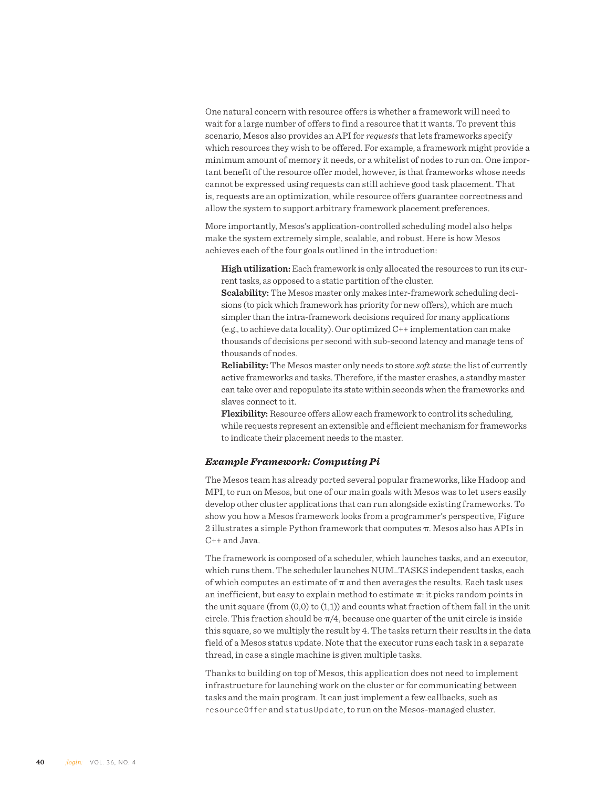One natural concern with resource offers is whether a framework will need to wait for a large number of offers to find a resource that it wants. To prevent this scenario, Mesos also provides an API for *requests* that lets frameworks specify which resources they wish to be offered. For example, a framework might provide a minimum amount of memory it needs, or a whitelist of nodes to run on. One important benefit of the resource offer model, however, is that frameworks whose needs cannot be expressed using requests can still achieve good task placement. That is, requests are an optimization, while resource offers guarantee correctness and allow the system to support arbitrary framework placement preferences.

More importantly, Mesos's application-controlled scheduling model also helps make the system extremely simple, scalable, and robust. Here is how Mesos achieves each of the four goals outlined in the introduction:

**High utilization:** Each framework is only allocated the resources to run its current tasks, as opposed to a static partition of the cluster.

**Scalability:** The Mesos master only makes inter-framework scheduling decisions (to pick which framework has priority for new offers), which are much simpler than the intra-framework decisions required for many applications (e.g., to achieve data locality). Our optimized C++ implementation can make thousands of decisions per second with sub-second latency and manage tens of thousands of nodes.

**Reliability:** The Mesos master only needs to store *soft state*: the list of currently active frameworks and tasks. Therefore, if the master crashes, a standby master can take over and repopulate its state within seconds when the frameworks and slaves connect to it.

**Flexibility:** Resource offers allow each framework to control its scheduling, while requests represent an extensible and efficient mechanism for frameworks to indicate their placement needs to the master.

#### *Example Framework: Computing Pi*

The Mesos team has already ported several popular frameworks, like Hadoop and MPI, to run on Mesos, but one of our main goals with Mesos was to let users easily develop other cluster applications that can run alongside existing frameworks. To show you how a Mesos framework looks from a programmer's perspective, Figure 2 illustrates a simple Python framework that computes  $\pi$ . Mesos also has APIs in C++ and Java.

The framework is composed of a scheduler, which launches tasks, and an executor, which runs them. The scheduler launches NUM\_TASKS independent tasks, each of which computes an estimate of  $\pi$  and then averages the results. Each task uses an inefficient, but easy to explain method to estimate  $\pi$ : it picks random points in the unit square (from  $(0,0)$  to  $(1,1)$ ) and counts what fraction of them fall in the unit circle. This fraction should be  $\pi/4$ , because one quarter of the unit circle is inside this square, so we multiply the result by 4. The tasks return their results in the data field of a Mesos status update. Note that the executor runs each task in a separate thread, in case a single machine is given multiple tasks.

Thanks to building on top of Mesos, this application does not need to implement infrastructure for launching work on the cluster or for communicating between tasks and the main program. It can just implement a few callbacks, such as resourceOffer and statusUpdate, to run on the Mesos-managed cluster.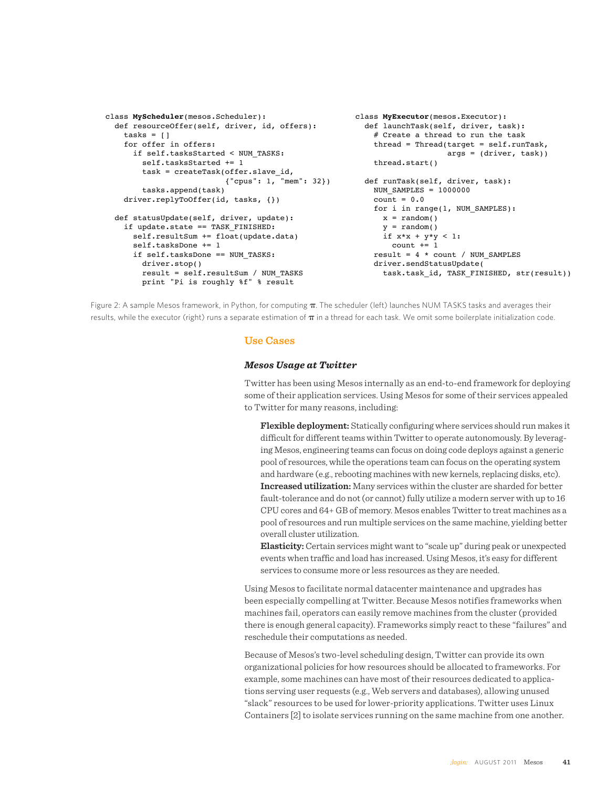```
class MyExecutor(mesos.Executor):
                                                           def launchTask(self, driver, task):
                                                             # Create a thread to run the task
                                                            thread = Thread(target = self.runTask, args = (driver, task))
                                                             thread.start()
                                                         def runTask(self, driver, task):
                                                            NUM_SAMPLES = 1000000
                                                            count = 0.0 for i in range(1, NUM_SAMPLES):
                                                             x = random()y = random() if x*x + y*y < 1:
                                                               count += 1result = 4 * count / NUM SAMPLES
                                                             driver.sendStatusUpdate(
                                                               task.task_id, TASK_FINISHED, str(result))
class MyScheduler(mesos.Scheduler):
   def resourceOffer(self, driver, id, offers):
   tasks = [] for offer in offers:
       if self.tasksStarted < NUM_TASKS:
         self.tasksStarted += 1
         task = createTask(offer.slave_id,
                           {"cpus": 1, "mem": 32})
         tasks.append(task)
    driver.replyToOffer(id, tasks, {})
   def statusUpdate(self, driver, update):
    if update.state == TASK FINISHED:
       self.resultSum += float(update.data)
       self.tasksDone += 1
       if self.tasksDone == NUM_TASKS:
         driver.stop()
         result = self.resultSum / NUM_TASKS
         print "Pi is roughly %f" % result
```
Figure 2: A sample Mesos framework, in Python, for computing  $\pi$ . The scheduler (left) launches NUM TASKS tasks and averages their results, while the executor (right) runs a separate estimation of  $\pi$  in a thread for each task. We omit some boilerplate initialization code.

### **Use Cases**

#### *Mesos Usage at Twitter*

Twitter has been using Mesos internally as an end-to-end framework for deploying some of their application services. Using Mesos for some of their services appealed to Twitter for many reasons, including:

**Flexible deployment:** Statically configuring where services should run makes it difficult for different teams within Twitter to operate autonomously. By leveraging Mesos, engineering teams can focus on doing code deploys against a generic pool of resources, while the operations team can focus on the operating system and hardware (e.g., rebooting machines with new kernels, replacing disks, etc). **Increased utilization:** Many services within the cluster are sharded for better fault-tolerance and do not (or cannot) fully utilize a modern server with up to 16 CPU cores and 64+ GB of memory. Mesos enables Twitter to treat machines as a pool of resources and run multiple services on the same machine, yielding better overall cluster utilization.

**Elasticity:** Certain services might want to "scale up" during peak or unexpected events when traffic and load has increased. Using Mesos, it's easy for different services to consume more or less resources as they are needed.

Using Mesos to facilitate normal datacenter maintenance and upgrades has been especially compelling at Twitter. Because Mesos notifies frameworks when machines fail, operators can easily remove machines from the cluster (provided there is enough general capacity). Frameworks simply react to these "failures" and reschedule their computations as needed.

Because of Mesos's two-level scheduling design, Twitter can provide its own organizational policies for how resources should be allocated to frameworks. For example, some machines can have most of their resources dedicated to applications serving user requests (e.g., Web servers and databases), allowing unused "slack" resources to be used for lower-priority applications. Twitter uses Linux Containers [2] to isolate services running on the same machine from one another.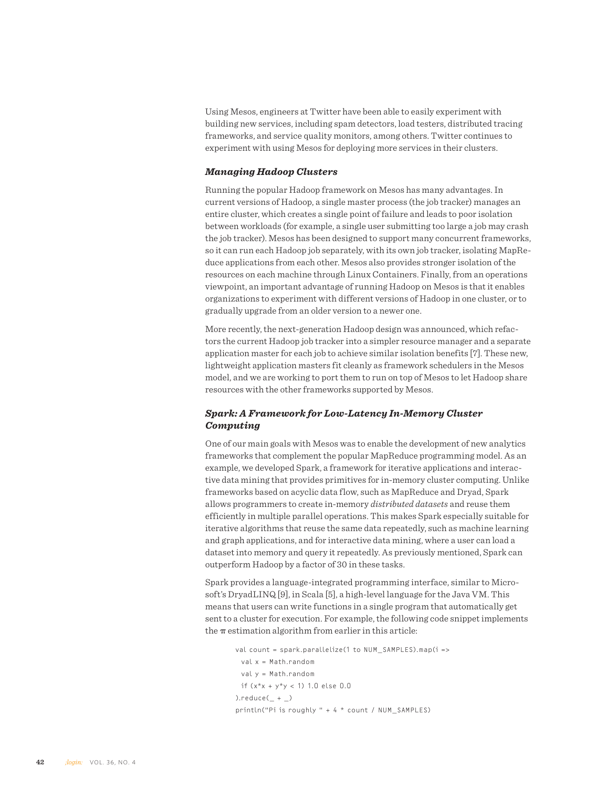Using Mesos, engineers at Twitter have been able to easily experiment with building new services, including spam detectors, load testers, distributed tracing frameworks, and service quality monitors, among others. Twitter continues to experiment with using Mesos for deploying more services in their clusters.

#### *Managing Hadoop Clusters*

Running the popular Hadoop framework on Mesos has many advantages. In current versions of Hadoop, a single master process (the job tracker) manages an entire cluster, which creates a single point of failure and leads to poor isolation between workloads (for example, a single user submitting too large a job may crash the job tracker). Mesos has been designed to support many concurrent frameworks, so it can run each Hadoop job separately, with its own job tracker, isolating MapReduce applications from each other. Mesos also provides stronger isolation of the resources on each machine through Linux Containers. Finally, from an operations viewpoint, an important advantage of running Hadoop on Mesos is that it enables organizations to experiment with different versions of Hadoop in one cluster, or to gradually upgrade from an older version to a newer one.

More recently, the next-generation Hadoop design was announced, which refactors the current Hadoop job tracker into a simpler resource manager and a separate application master for each job to achieve similar isolation benefits [7]. These new, lightweight application masters fit cleanly as framework schedulers in the Mesos model, and we are working to port them to run on top of Mesos to let Hadoop share resources with the other frameworks supported by Mesos.

## *Spark: A Framework for Low-Latency In-Memory Cluster Computing*

One of our main goals with Mesos was to enable the development of new analytics frameworks that complement the popular MapReduce programming model. As an example, we developed Spark, a framework for iterative applications and interactive data mining that provides primitives for in-memory cluster computing. Unlike frameworks based on acyclic data flow, such as MapReduce and Dryad, Spark allows programmers to create in-memory *distributed datasets* and reuse them efficiently in multiple parallel operations. This makes Spark especially suitable for iterative algorithms that reuse the same data repeatedly, such as machine learning and graph applications, and for interactive data mining, where a user can load a dataset into memory and query it repeatedly. As previously mentioned, Spark can outperform Hadoop by a factor of 30 in these tasks.

Spark provides a language-integrated programming interface, similar to Microsoft's DryadLINQ [9], in Scala [5], a high-level language for the Java VM. This means that users can write functions in a single program that automatically get sent to a cluster for execution. For example, the following code snippet implements the  $\pi$  estimation algorithm from earlier in this article:

```
val count = spark.parallelize(1 to NUM_SAMPLES).map(i =>
  val x = Math.random
  val y = Math.random
 if (x*x + y*y < 1) 1.0 else 0.0
).reduce(\_ + \_)println("Pi is roughly " + 4 * count / NUM_SAMPLES)
```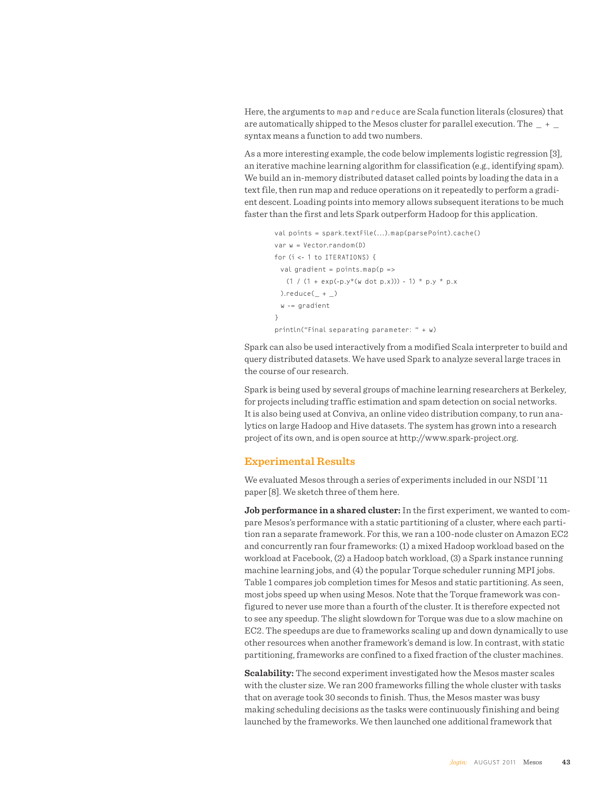Here, the arguments to map and reduce are Scala function literals (closures) that are automatically shipped to the Mesos cluster for parallel execution. The  $+$ syntax means a function to add two numbers.

As a more interesting example, the code below implements logistic regression [3], an iterative machine learning algorithm for classification (e.g., identifying spam). We build an in-memory distributed dataset called points by loading the data in a text file, then run map and reduce operations on it repeatedly to perform a gradient descent. Loading points into memory allows subsequent iterations to be much faster than the first and lets Spark outperform Hadoop for this application.

```
val points = spark.textFile(...).map(parsePoint).cache()
var w = Vector.random(D)
for (i <- 1 to ITERATIONS) {
 val gradient = pointsmap(p =(1 / (1 + \exp(-p.y*(w \cdot dot p.x))) - 1) * p.y * p.x).reduce(\_ + \_) w -= gradient
}
println("Final separating parameter: " + w)
```
Spark can also be used interactively from a modified Scala interpreter to build and query distributed datasets. We have used Spark to analyze several large traces in the course of our research.

Spark is being used by several groups of machine learning researchers at Berkeley, for projects including traffic estimation and spam detection on social networks. It is also being used at Conviva, an online video distribution company, to run analytics on large Hadoop and Hive datasets. The system has grown into a research project of its own, and is open source at http://www.spark-project.org.

#### **Experimental Results**

We evaluated Mesos through a series of experiments included in our NSDI '11 paper [8]. We sketch three of them here.

**Job performance in a shared cluster:** In the first experiment, we wanted to compare Mesos's performance with a static partitioning of a cluster, where each partition ran a separate framework. For this, we ran a 100-node cluster on Amazon EC2 and concurrently ran four frameworks: (1) a mixed Hadoop workload based on the workload at Facebook, (2) a Hadoop batch workload, (3) a Spark instance running machine learning jobs, and (4) the popular Torque scheduler running MPI jobs. Table 1 compares job completion times for Mesos and static partitioning. As seen, most jobs speed up when using Mesos. Note that the Torque framework was configured to never use more than a fourth of the cluster. It is therefore expected not to see any speedup. The slight slowdown for Torque was due to a slow machine on EC2. The speedups are due to frameworks scaling up and down dynamically to use other resources when another framework's demand is low. In contrast, with static partitioning, frameworks are confined to a fixed fraction of the cluster machines.

**Scalability:** The second experiment investigated how the Mesos master scales with the cluster size. We ran 200 frameworks filling the whole cluster with tasks that on average took 30 seconds to finish. Thus, the Mesos master was busy making scheduling decisions as the tasks were continuously finishing and being launched by the frameworks. We then launched one additional framework that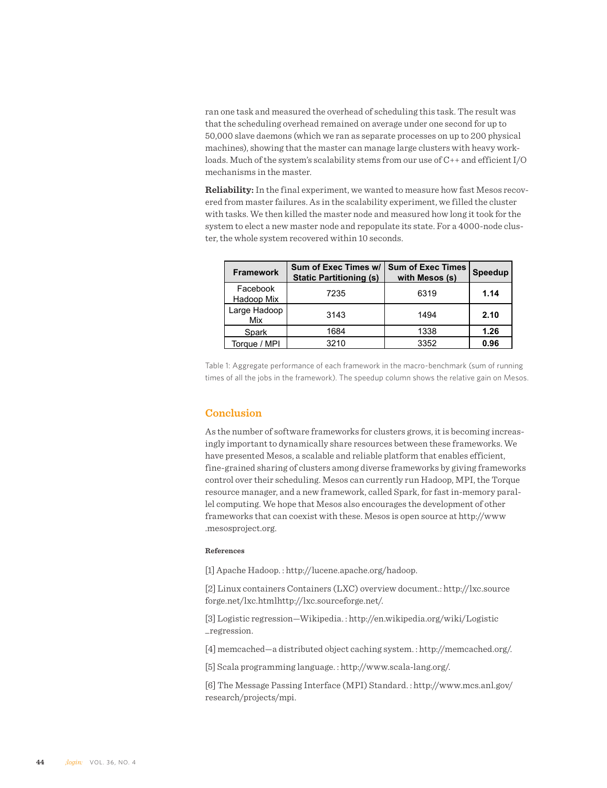ran one task and measured the overhead of scheduling this task. The result was that the scheduling overhead remained on average under one second for up to 50,000 slave daemons (which we ran as separate processes on up to 200 physical machines), showing that the master can manage large clusters with heavy workloads. Much of the system's scalability stems from our use of C++ and efficient I/O mechanisms in the master.

**Reliability:** In the final experiment, we wanted to measure how fast Mesos recovered from master failures. As in the scalability experiment, we filled the cluster with tasks. We then killed the master node and measured how long it took for the system to elect a new master node and repopulate its state. For a 4000-node cluster, the whole system recovered within 10 seconds.

| <b>Framework</b>       | Sum of Exec Times w/<br><b>Static Partitioning (s)</b> | <b>Sum of Exec Times</b><br>with Mesos (s) | <b>Speedup</b> |
|------------------------|--------------------------------------------------------|--------------------------------------------|----------------|
| Facebook<br>Hadoop Mix | 7235                                                   | 6319                                       | 1.14           |
| Large Hadoop<br>Mix    | 3143                                                   | 1494                                       | 2.10           |
| Spark                  | 1684                                                   | 1338                                       | 1.26           |
| Torque / MPI           | 3210                                                   | 3352                                       | 0.96           |

Table 1: Aggregate performance of each framework in the macro-benchmark (sum of running times of all the jobs in the framework). The speedup column shows the relative gain on Mesos.

#### **Conclusion**

As the number of software frameworks for clusters grows, it is becoming increasingly important to dynamically share resources between these frameworks. We have presented Mesos, a scalable and reliable platform that enables efficient, fine-grained sharing of clusters among diverse frameworks by giving frameworks control over their scheduling. Mesos can currently run Hadoop, MPI, the Torque resource manager, and a new framework, called Spark, for fast in-memory parallel computing. We hope that Mesos also encourages the development of other frameworks that can coexist with these. Mesos is open source at http://www .mesosproject.org.

#### **References**

[1] Apache Hadoop. : http://lucene.apache.org/hadoop.

[2] Linux containers Containers (LXC) overview document.: http://lxc.source forge.net/lxc.htmlhttp://lxc.sourceforge.net/.

[3] Logistic regression—Wikipedia. : http://en.wikipedia.org/wiki/Logistic \_regression.

[4] memcached—a distributed object caching system. : http://memcached.org/.

[5] Scala programming language. : http://www.scala-lang.org/.

[6] The Message Passing Interface (MPI) Standard. : http://www.mcs.anl.gov/ research/projects/mpi.